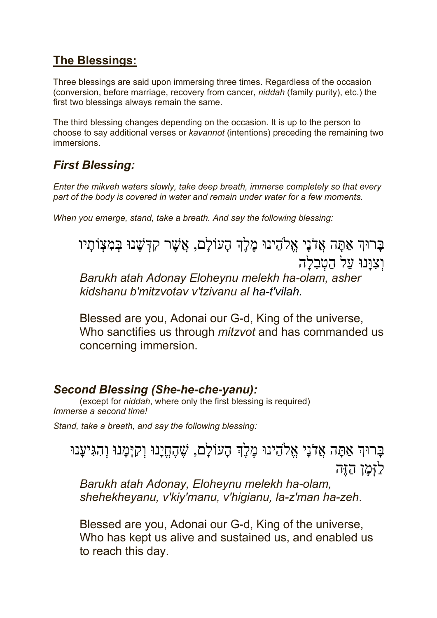### **The Blessings:**

Three blessings are said upon immersing three times. Regardless of the occasion (conversion, before marriage, recovery from cancer, *niddah* (family purity), etc.) the first two blessings always remain the same.

The third blessing changes depending on the occasion. It is up to the person to choose to say additional verses or *kavannot* (intentions) preceding the remaining two immersions.

### *First Blessing:*

*Enter the mikveh waters slowly, take deep breath, immerse completely so that every part of the body is covered in water and remain under water for a few moments.*

*When you emerge, stand, take a breath. And say the following blessing:*

ַבְרוּךְ אַתָּה אֲדֹנָי אֱלֹהֶינוּ מֶלֶךְ הָעוֹלָם, אֲשֶׁר קִדְּשָׁנוּ בִּמְצָוֹתָיו וְצְוַּנוּ עַל הַטְבְלָה

*Barukh atah Adonay Eloheynu melekh ha-olam, asher kidshanu b'mitzvotav v'tzivanu al ha-t'vilah.*

Blessed are you, Adonai our G-d, King of the universe, Who sanctifies us through *mitzvot* and has commanded us concerning immersion.

### *Second Blessing (She-he-che-yanu):*

(except for *niddah*, where only the first blessing is required) *Immerse a second time!*

*Stand, take a breath, and say the following blessing:*

ָבָרוּהְ אַתָּה אֲדֹנָי אֱלֹהֵינוּ מֶלֶךְ הָעוֹלָם, שֶׁהֶחֱיָנוּ וְקִיָּמָנוּ וְהִגִּיעָנוּ לַזָּמַן הָזֶה

*Barukh atah Adonay, Eloheynu melekh ha-olam, shehekheyanu, v'kiy'manu, v'higianu, la-z'man ha-zeh*.

Blessed are you, Adonai our G-d, King of the universe, Who has kept us alive and sustained us, and enabled us to reach this day.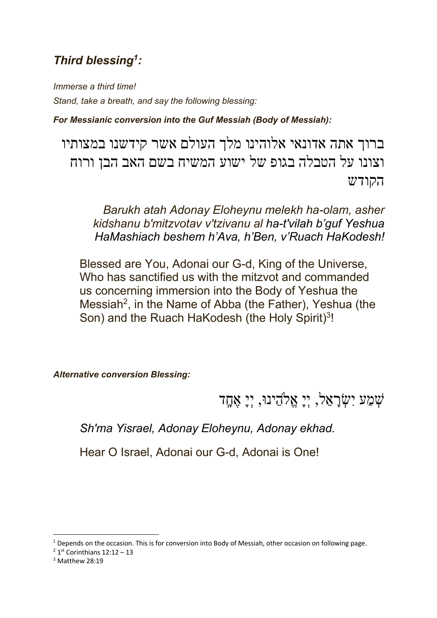### *Third blessing1:*

*Immerse a third time! Stand, take a breath, and say the following blessing:*

*For Messianic conversion into the Guf Messiah (Body of Messiah):*

ברוך אתה אדונאי אלוהינו מלך העולם אשר קידשנו במצותיו וצונו על הטבלה בגופ של ישוע המשיח בשם האב הבן ורוח שדוקה

*Barukh atah Adonay Eloheynu melekh ha-olam, asher kidshanu b'mitzvotav v'tzivanu al ha-t'vilah b'guf Yeshua HaMashiach beshem h'Ava, h'Ben, v'Ruach HaKodesh!*

Blessed are You, Adonai our G-d, King of the Universe, Who has sanctified us with the mitzvot and commanded us concerning immersion into the Body of Yeshua the Messiah<sup>2</sup>, in the Name of Abba (the Father), Yeshua (the Son) and the Ruach HaKodesh (the Holy Spirit)3!

*Alternative conversion Blessing:*

דָֽחֶא ָיְי ,וּניֵהֱ1א ָיְי ,לֵאָרְשִׂי עַמְשׁ

*Sh'ma Yisrael, Adonay Eloheynu, Adonay ekhad.*

Hear O Israel, Adonai our G-d, Adonai is One!

 $3$  Matthew 28:19

 $1$  Depends on the occasion. This is for conversion into Body of Messiah, other occasion on following page.

 $2$  1st Corinthians 12:12 - 13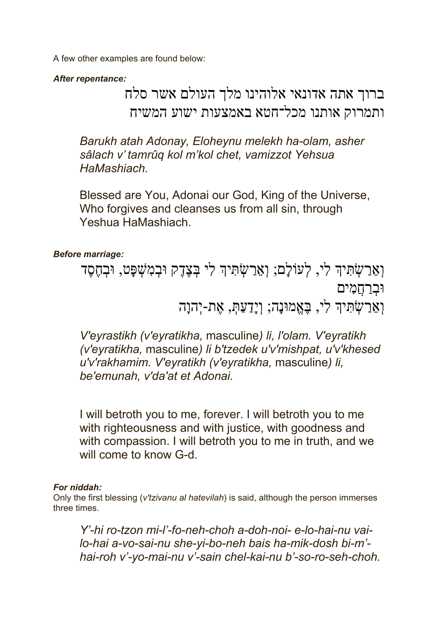A few other examples are found below:

*After repentance:*

## ברוך אתה אדונאי אלוהינו מלך העולם אשר סלח ותמרוק אותנו מכל־חטא באמצעות ישוע המשיח

*Barukh atah Adonay, Eloheynu melekh ha-olam, asher sâlach v' tamrûq kol m'kol chet, vamizzot Yehsua HaMashiach.*

Blessed are You, Adonai our God, King of the Universe, Who forgives and cleanses us from all sin, through Yeshua HaMashiach.

#### *Before marriage:*

וְאֵרַשָׂתִ<sup>ּ</sup>יִדְ לִי, לְעוֹלָם; וְאֵרַשָׂתִּיךְ לִי בְּצֶדֶק וּבְמִשָּׁפָט, וּבְחֶסֶד וּב<u>ְר</u>חֲמִים וְתֵּבְיִשְׂהָיִךְ לִי, בָּאֱמוּנָה; וְיָדַעַתְּ, אֵת-יִהְוָה

*V'eyrastikh (v'eyratikha,* masculine*) li, l'olam. V'eyratikh (v'eyratikha,* masculine*) li b'tzedek u'v'mishpat, u'v'khesed u'v'rakhamim. V'eyratikh (v'eyratikha,* masculine*) li, be'emunah, v'da'at et Adonai.*

I will betroth you to me, forever. I will betroth you to me with righteousness and with justice, with goodness and with compassion. I will betroth you to me in truth, and we will come to know G-d.

#### *For niddah:*

Only the first blessing (*v'tzivanu al hatevilah*) is said, although the person immerses three times.

*Y'-hi ro-tzon mi-l'-fo-neh-choh a-doh-noi- e-lo-hai-nu vailo-hai a-vo-sai-nu she-yi-bo-neh bais ha-mik-dosh bi-m' hai-roh v'-yo-mai-nu v'-sain chel-kai-nu b'-so-ro-seh-choh.*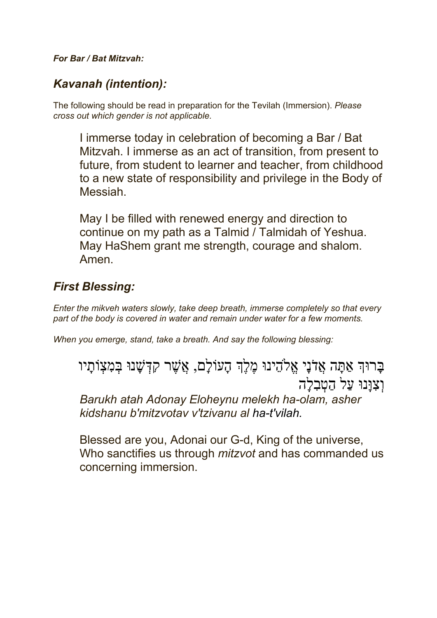#### *For Bar / Bat Mitzvah:*

### *Kavanah (intention):*

The following should be read in preparation for the Tevilah (Immersion). *Please cross out which gender is not applicable.*

I immerse today in celebration of becoming a Bar / Bat Mitzvah. I immerse as an act of transition, from present to future, from student to learner and teacher, from childhood to a new state of responsibility and privilege in the Body of Messiah.

May I be filled with renewed energy and direction to continue on my path as a Talmid / Talmidah of Yeshua. May HaShem grant me strength, courage and shalom. Amen.

### *First Blessing:*

*Enter the mikveh waters slowly, take deep breath, immerse completely so that every part of the body is covered in water and remain under water for a few moments.*

*When you emerge, stand, take a breath. And say the following blessing:*

ַבְרוּךְ אַתַּה אֲלֹנֵי אֱלֹהֶינוּ מֶלֶךְ הָעוֹלַם, אֲשֶׁר קִדְּשָׁנוּ בִּמְצָוֹתַיו וְצְוַּנוּ עַל הַטְבְלָה

*Barukh atah Adonay Eloheynu melekh ha-olam, asher kidshanu b'mitzvotav v'tzivanu al ha-t'vilah.*

Blessed are you, Adonai our G-d, King of the universe, Who sanctifies us through *mitzvot* and has commanded us concerning immersion.